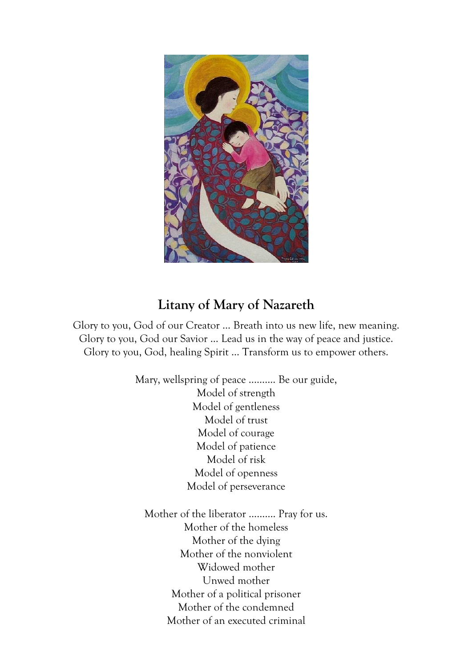

## **Litany of Mary of Nazareth**

Glory to you, God of our Creator … Breath into us new life, new meaning. Glory to you, God our Savior … Lead us in the way of peace and justice. Glory to you, God, healing Spirit … Transform us to empower others.

> Mary, wellspring of peace .......... Be our guide, Model of strength Model of gentleness Model of trust Model of courage Model of patience Model of risk Model of openness Model of perseverance

Mother of the liberator ………. Pray for us. Mother of the homeless Mother of the dying Mother of the nonviolent Widowed mother Unwed mother Mother of a political prisoner Mother of the condemned Mother of an executed criminal